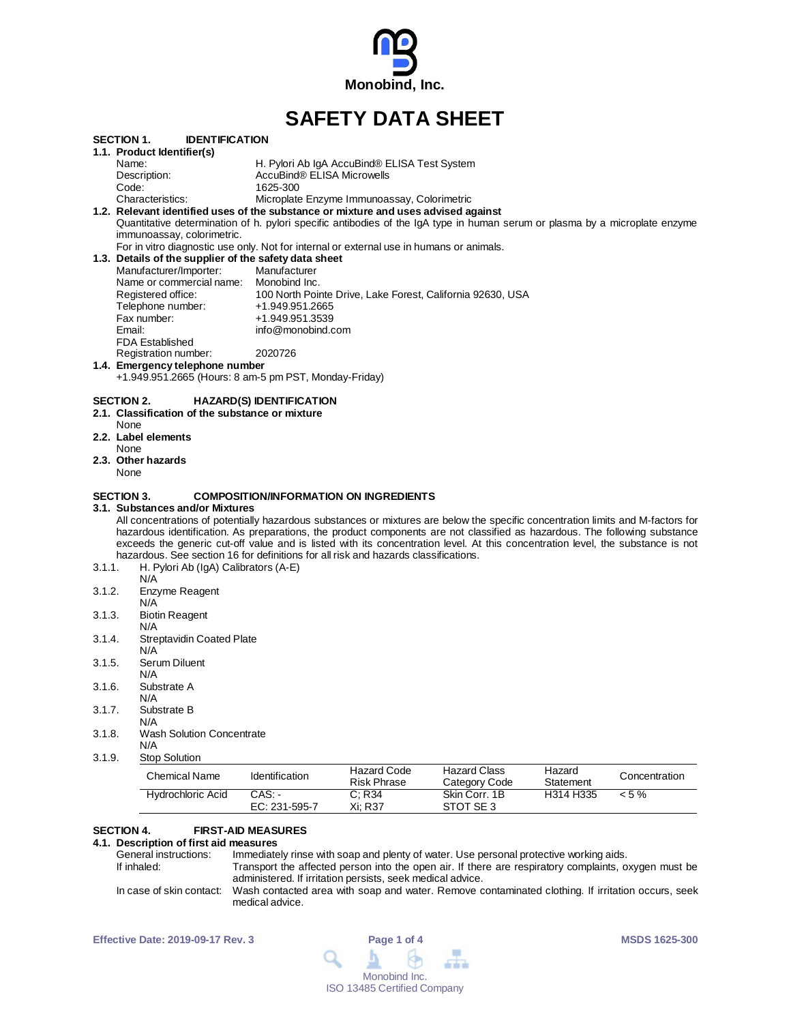

# **SAFETY DATA SHEET**

| 3.1.9.            | <b>Chemical Name</b><br>Hydrochloric Acid                                                                                                                                                                                                                      | Identification<br>$CAS$ :       | <b>Risk Phrase</b><br>C; R34                  | Category Code<br>Skin Corr, 1B                             | Statement<br>H314 H335 | Concentration<br>$< 5\%$ |
|-------------------|----------------------------------------------------------------------------------------------------------------------------------------------------------------------------------------------------------------------------------------------------------------|---------------------------------|-----------------------------------------------|------------------------------------------------------------|------------------------|--------------------------|
|                   |                                                                                                                                                                                                                                                                |                                 |                                               |                                                            |                        |                          |
|                   | <b>Stop Solution</b>                                                                                                                                                                                                                                           |                                 | <b>Hazard Code</b>                            | <b>Hazard Class</b>                                        | Hazard                 |                          |
| 3.1.8.            | <b>Wash Solution Concentrate</b><br>N/A                                                                                                                                                                                                                        |                                 |                                               |                                                            |                        |                          |
|                   | N/A                                                                                                                                                                                                                                                            |                                 |                                               |                                                            |                        |                          |
| 3.1.7.            | N/A<br>Substrate B                                                                                                                                                                                                                                             |                                 |                                               |                                                            |                        |                          |
| 3.1.6.            | Substrate A                                                                                                                                                                                                                                                    |                                 |                                               |                                                            |                        |                          |
| 3.1.5.            | Serum Diluent<br>N/A                                                                                                                                                                                                                                           |                                 |                                               |                                                            |                        |                          |
|                   | N/A                                                                                                                                                                                                                                                            |                                 |                                               |                                                            |                        |                          |
| 3.1.4.            | <b>Streptavidin Coated Plate</b>                                                                                                                                                                                                                               |                                 |                                               |                                                            |                        |                          |
| 3.1.3.            | <b>Biotin Reagent</b><br>N/A                                                                                                                                                                                                                                   |                                 |                                               |                                                            |                        |                          |
|                   | N/A                                                                                                                                                                                                                                                            |                                 |                                               |                                                            |                        |                          |
| 3.1.2.            | Enzyme Reagent                                                                                                                                                                                                                                                 |                                 |                                               |                                                            |                        |                          |
| 3.1.1.            | H. Pylori Ab (IgA) Calibrators (A-E)<br>N/A                                                                                                                                                                                                                    |                                 |                                               |                                                            |                        |                          |
|                   | hazardous. See section 16 for definitions for all risk and hazards classifications.                                                                                                                                                                            |                                 |                                               |                                                            |                        |                          |
|                   | exceeds the generic cut-off value and is listed with its concentration level. At this concentration level, the substance is not                                                                                                                                |                                 |                                               |                                                            |                        |                          |
|                   | All concentrations of potentially hazardous substances or mixtures are below the specific concentration limits and M-factors for<br>hazardous identification. As preparations, the product components are not classified as hazardous. The following substance |                                 |                                               |                                                            |                        |                          |
|                   | 3.1.  Substances and/or Mixtures                                                                                                                                                                                                                               |                                 |                                               |                                                            |                        |                          |
| <b>SECTION 3.</b> |                                                                                                                                                                                                                                                                |                                 | <b>COMPOSITION/INFORMATION ON INGREDIENTS</b> |                                                            |                        |                          |
| None              |                                                                                                                                                                                                                                                                |                                 |                                               |                                                            |                        |                          |
| None              | 2.3. Other hazards                                                                                                                                                                                                                                             |                                 |                                               |                                                            |                        |                          |
|                   | 2.2. Label elements                                                                                                                                                                                                                                            |                                 |                                               |                                                            |                        |                          |
| None              | 2.1. Classification of the substance or mixture                                                                                                                                                                                                                |                                 |                                               |                                                            |                        |                          |
| SECTION 2.        |                                                                                                                                                                                                                                                                | <b>HAZARD(S) IDENTIFICATION</b> |                                               |                                                            |                        |                          |
|                   | +1.949.951.2665 (Hours: 8 am-5 pm PST, Monday-Friday)                                                                                                                                                                                                          |                                 |                                               |                                                            |                        |                          |
|                   | 1.4. Emergency telephone number                                                                                                                                                                                                                                |                                 |                                               |                                                            |                        |                          |
|                   | Registration number:                                                                                                                                                                                                                                           | 2020726                         |                                               |                                                            |                        |                          |
| Email:            | <b>FDA Established</b>                                                                                                                                                                                                                                         | info@monobind.com               |                                               |                                                            |                        |                          |
|                   | Fax number:                                                                                                                                                                                                                                                    | +1.949.951.3539                 |                                               |                                                            |                        |                          |
|                   | Telephone number:                                                                                                                                                                                                                                              | +1.949.951.2665                 |                                               |                                                            |                        |                          |
|                   | Name or commercial name: Monobind Inc.<br>Registered office:                                                                                                                                                                                                   |                                 |                                               | 100 North Pointe Drive, Lake Forest, California 92630, USA |                        |                          |
|                   | Manufacturer/Importer:                                                                                                                                                                                                                                         | Manufacturer                    |                                               |                                                            |                        |                          |
|                   | 1.3. Details of the supplier of the safety data sheet                                                                                                                                                                                                          |                                 |                                               |                                                            |                        |                          |
|                   | immunoassay, colorimetric.<br>For in vitro diagnostic use only. Not for internal or external use in humans or animals.                                                                                                                                         |                                 |                                               |                                                            |                        |                          |
|                   | Quantitative determination of h. pylori specific antibodies of the IgA type in human serum or plasma by a microplate enzyme                                                                                                                                    |                                 |                                               |                                                            |                        |                          |
|                   | 1.2. Relevant identified uses of the substance or mixture and uses advised against                                                                                                                                                                             |                                 |                                               |                                                            |                        |                          |
|                   | Characteristics:                                                                                                                                                                                                                                               | 1625-300                        | Microplate Enzyme Immunoassay, Colorimetric   |                                                            |                        |                          |
|                   |                                                                                                                                                                                                                                                                |                                 |                                               |                                                            |                        |                          |
| Name:<br>Code:    | Description:                                                                                                                                                                                                                                                   | AccuBind® ELISA Microwells      | H. Pylori Ab IgA AccuBind® ELISA Test System  |                                                            |                        |                          |

# **SECTION 4. FIRST-AID MEASURES**

**4.1. Description of first aid measures**

| General instructions:    | Immediately rinse with soap and plenty of water. Use personal protective working aids.               |
|--------------------------|------------------------------------------------------------------------------------------------------|
| If inhaled:              | Transport the affected person into the open air. If there are respiratory complaints, oxygen must be |
|                          | administered. If irritation persists, seek medical advice.                                           |
| In case of skin contact: | Wash contacted area with soap and water. Remove contaminated clothing. If irritation occurs, seek    |
|                          | medical advice.                                                                                      |

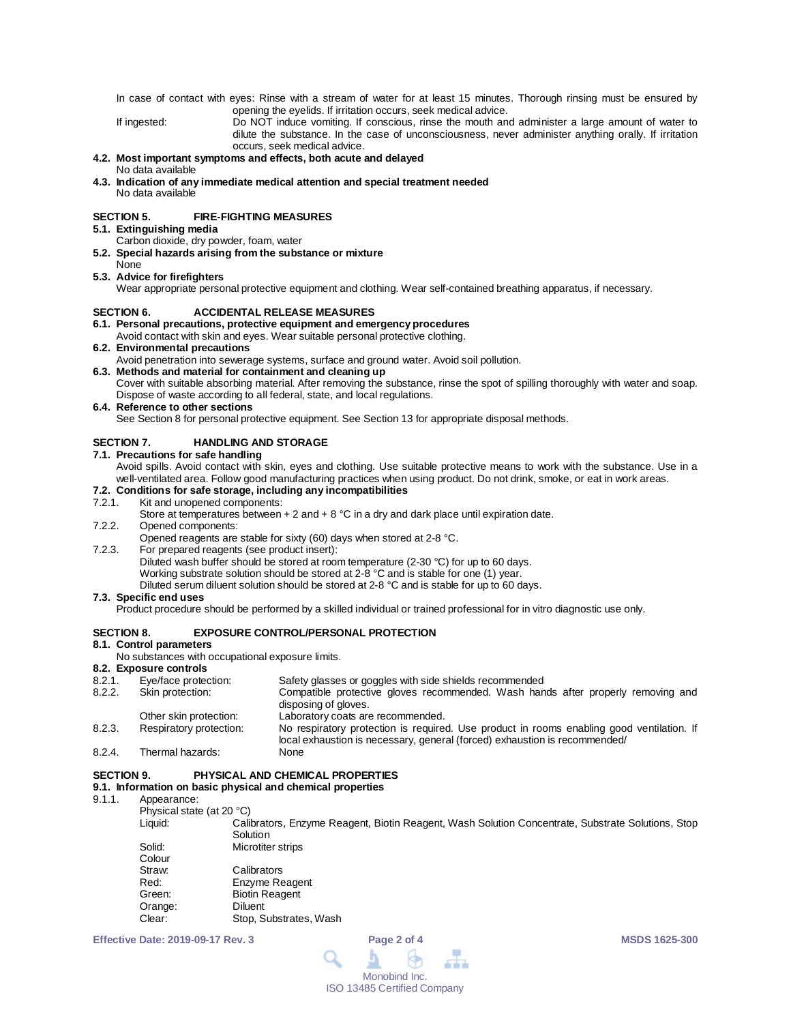In case of contact with eyes: Rinse with a stream of water for at least 15 minutes. Thorough rinsing must be ensured by opening the eyelids. If irritation occurs, seek medical advice.

If ingested: Do NOT induce vomiting. If conscious, rinse the mouth and administer a large amount of water to dilute the substance. In the case of unconsciousness, never administer anything orally. If irritation occurs, seek medical advice.

### **4.2. Most important symptoms and effects, both acute and delayed** No data available

**4.3. Indication of any immediate medical attention and special treatment needed** No data available

# **SECTION 5. FIRE-FIGHTING MEASURES**

- **5.1. Extinguishing media**
	- Carbon dioxide, dry powder, foam, water
- **5.2. Special hazards arising from the substance or mixture**
- None **5.3. Advice for firefighters**

Wear appropriate personal protective equipment and clothing. Wear self-contained breathing apparatus, if necessary.

# **SECTION 6. ACCIDENTAL RELEASE MEASURES**

## **6.1. Personal precautions, protective equipment and emergency procedures**

Avoid contact with skin and eyes. Wear suitable personal protective clothing.

**6.2. Environmental precautions**

Avoid penetration into sewerage systems, surface and ground water. Avoid soil pollution.

## **6.3. Methods and material for containment and cleaning up**

Cover with suitable absorbing material. After removing the substance, rinse the spot of spilling thoroughly with water and soap. Dispose of waste according to all federal, state, and local regulations.

### **6.4. Reference to other sections**

See Section 8 for personal protective equipment. See Section 13 for appropriate disposal methods.

# **SECTION 7. HANDLING AND STORAGE**

**7.1. Precautions for safe handling**

Avoid spills. Avoid contact with skin, eyes and clothing. Use suitable protective means to work with the substance. Use in a well-ventilated area. Follow good manufacturing practices when using product. Do not drink, smoke, or eat in work areas.

# **7.2. Conditions for safe storage, including any incompatibilities**

Kit and unopened components:

Store at temperatures between  $+ 2$  and  $+ 8$  °C in a dry and dark place until expiration date.

7.2.2. Opened components:

Opened reagents are stable for sixty (60) days when stored at 2-8 °C.

7.2.3. For prepared reagents (see product insert): Diluted wash buffer should be stored at room temperature (2-30 °C) for up to 60 days. Working substrate solution should be stored at 2-8 °C and is stable for one (1) year. Diluted serum diluent solution should be stored at 2-8 °C and is stable for up to 60 days.

## **7.3. Specific end uses**

Product procedure should be performed by a skilled individual or trained professional for in vitro diagnostic use only.

# **SECTION 8. EXPOSURE CONTROL/PERSONAL PROTECTION**

# **8.1. Control parameters**

No substances with occupational exposure limits.

### **8.2. Exposure controls**

| 8.2.1. | Eye/face protection:    | Safety glasses or goggles with side shields recommended                                                                                                                 |
|--------|-------------------------|-------------------------------------------------------------------------------------------------------------------------------------------------------------------------|
| 8.2.2. | Skin protection:        | Compatible protective gloves recommended. Wash hands after properly removing and                                                                                        |
|        |                         | disposing of gloves.                                                                                                                                                    |
|        | Other skin protection:  | Laboratory coats are recommended.                                                                                                                                       |
| 8.2.3. | Respiratory protection: | No respiratory protection is required. Use product in rooms enabling good ventilation. If<br>local exhaustion is necessary, general (forced) exhaustion is recommended/ |
| 8.2.4. | Thermal hazards:        | None                                                                                                                                                                    |

## **SECTION 9. PHYSICAL AND CHEMICAL PROPERTIES**

# **9.1. Information on basic physical and chemical properties**

- Appearance:
	- Physical state (at 20 °C)

Calibrators, Enzyme Reagent, Biotin Reagent, Wash Solution Concentrate, Substrate Solutions, Stop **Solution** 

| Microtiter strips      |
|------------------------|
|                        |
| Calibrators            |
| Enzyme Reagent         |
| <b>Biotin Reagent</b>  |
| Diluent                |
| Stop, Substrates, Wash |
|                        |

**Effective Date: 2019-09-17 Rev. 3 Page 2 of 4 MSDS 1625-300**

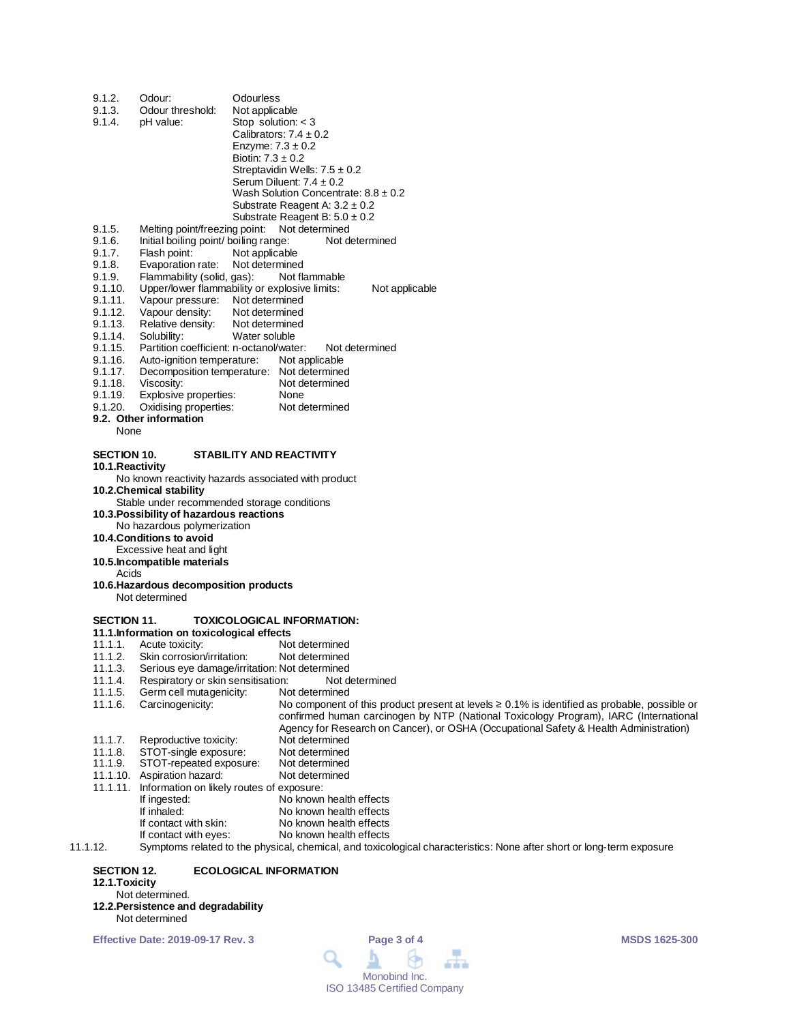| 9.1.2.<br>9.1.3.   | Odour:<br>Odour threshold:                                             | Odourless<br>Not applicable                                                                                                                                                   |
|--------------------|------------------------------------------------------------------------|-------------------------------------------------------------------------------------------------------------------------------------------------------------------------------|
| 9.1.4.             | pH value:                                                              | Stop solution: $<$ 3                                                                                                                                                          |
|                    |                                                                        | Calibrators: $7.4 \pm 0.2$                                                                                                                                                    |
|                    |                                                                        | Enzyme: $7.3 \pm 0.2$                                                                                                                                                         |
|                    |                                                                        | Biotin: $7.3 \pm 0.2$                                                                                                                                                         |
|                    |                                                                        | Streptavidin Wells: $7.5 \pm 0.2$<br>Serum Diluent: $7.4 \pm 0.2$                                                                                                             |
|                    |                                                                        | Wash Solution Concentrate: $8.8 \pm 0.2$                                                                                                                                      |
|                    |                                                                        | Substrate Reagent A: $3.2 \pm 0.2$                                                                                                                                            |
|                    |                                                                        | Substrate Reagent B: $5.0 \pm 0.2$                                                                                                                                            |
| 9.1.5.             | Melting point/freezing point:                                          | Not determined                                                                                                                                                                |
| 9.1.6.             | Initial boiling point/ boiling range:                                  | Not determined                                                                                                                                                                |
| 9.1.7.<br>9.1.8.   | Flash point:<br>Evaporation rate:                                      | Not applicable<br>Not determined                                                                                                                                              |
| 9.1.9.             | Flammability (solid, gas):                                             | Not flammable                                                                                                                                                                 |
| 9.1.10.            |                                                                        | Upper/lower flammability or explosive limits:<br>Not applicable                                                                                                               |
| 9.1.11.            | Vapour pressure: Not determined                                        |                                                                                                                                                                               |
| 9.1.12.            | Vapour density:                                                        | Not determined                                                                                                                                                                |
| 9.1.13.            | Relative density:                                                      | Not determined                                                                                                                                                                |
| 9.1.14.<br>9.1.15. | Solubility:<br>Partition coefficient: n-octanol/water:                 | Water soluble<br>Not determined                                                                                                                                               |
| 9.1.16.            | Auto-ignition temperature:                                             | Not applicable                                                                                                                                                                |
| 9.1.17.            |                                                                        | Decomposition temperature: Not determined                                                                                                                                     |
| 9.1.18.            | Viscosity:                                                             | Not determined                                                                                                                                                                |
| 9.1.19.            | Explosive properties:                                                  | None                                                                                                                                                                          |
| 9.1.20.            | Oxidising properties:<br>9.2. Other information                        | Not determined                                                                                                                                                                |
| None               |                                                                        |                                                                                                                                                                               |
|                    |                                                                        |                                                                                                                                                                               |
| <b>SECTION 10.</b> |                                                                        | <b>STABILITY AND REACTIVITY</b>                                                                                                                                               |
| 10.1.Reactivity    |                                                                        |                                                                                                                                                                               |
|                    |                                                                        | No known reactivity hazards associated with product                                                                                                                           |
|                    | 10.2.Chemical stability<br>Stable under recommended storage conditions |                                                                                                                                                                               |
|                    | 10.3. Possibility of hazardous reactions                               |                                                                                                                                                                               |
|                    | No hazardous polymerization                                            |                                                                                                                                                                               |
|                    | <b>10.4.Conditions to avoid</b>                                        |                                                                                                                                                                               |
|                    | Excessive heat and light                                               |                                                                                                                                                                               |
| Acids              | 10.5.Incompatible materials                                            |                                                                                                                                                                               |
|                    | 10.6. Hazardous decomposition products                                 |                                                                                                                                                                               |
|                    | Not determined                                                         |                                                                                                                                                                               |
|                    |                                                                        |                                                                                                                                                                               |
| SECTION 11.        |                                                                        | <b>TOXICOLOGICAL INFORMATION:</b>                                                                                                                                             |
| 11.1.1.            | 11.1. Information on toxicological effects<br>Acute toxicity:          | Not determined                                                                                                                                                                |
| 11.1.2.            | Skin corrosion/irritation:                                             | Not determined                                                                                                                                                                |
| 11.1.3.            |                                                                        | Serious eye damage/irritation: Not determined                                                                                                                                 |
| 11.1.4.            | Respiratory or skin sensitisation:                                     | Not determined                                                                                                                                                                |
| 11.1.5.            | Germ cell mutagenicity:                                                | Not determined                                                                                                                                                                |
| 11.1.6.            | Carcinogenicity:                                                       | No component of this product present at levels $\geq 0.1\%$ is identified as probable, possible or                                                                            |
|                    |                                                                        | confirmed human carcinogen by NTP (National Toxicology Program), IARC (International<br>Agency for Research on Cancer), or OSHA (Occupational Safety & Health Administration) |
| 11.1.7.            | Reproductive toxicity:                                                 | Not determined                                                                                                                                                                |
| 11.1.8.            | STOT-single exposure:                                                  | Not determined                                                                                                                                                                |
| 11.1.9.            | STOT-repeated exposure:                                                | Not determined                                                                                                                                                                |
| 11.1.10.           | Aspiration hazard:                                                     | Not determined                                                                                                                                                                |
| 11.1.11.           | Information on likely routes of exposure:                              |                                                                                                                                                                               |
|                    | If ingested:<br>If inhaled:                                            | No known health effects<br>No known health effects                                                                                                                            |
|                    | If contact with skin:                                                  | No known health effects                                                                                                                                                       |
|                    |                                                                        |                                                                                                                                                                               |

11.1.12. Symptoms related to the physical, chemical, and toxicological characteristics: None after short or long-term exposure

**SECTION 12. ECOLOGICAL INFORMATION** 

If contact with skin: No known health effects<br>If contact with eyes: No known health effects

No known health effects

**12.1.Toxicity**

- Not determined.
- **12.2.Persistence and degradability** Not determined

**Effective Date: 2019-09-17 Rev. 3 Page 3 of 4 MSDS 1625-300**

 $\overline{\phantom{a}}$ Q þ 9 血血血 Monobind Inc. ISO 13485 Certified Company